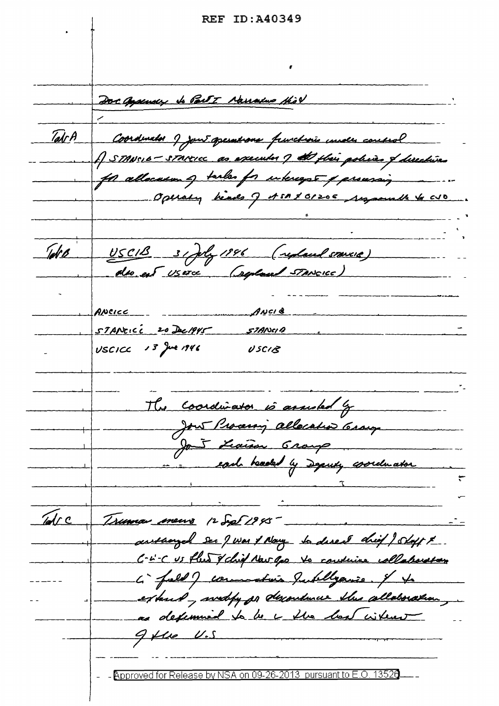**REF ID: A40349** 

Doc appearer to Part 7 Narralus Hist TalrA Coordinator 9 jour aperistions franchisis under conside Al fleir policies of directives JSTANSIE - STANCICC as for allocasum of tasks for interegre & proussing more Operaty heads of ASA \$ 01205 segameth to avo Tek B USCIB 31 July 1896 (replaced stance) ANCIB ANCICC STANCICC 20 Dec 1945 57ANCIA  $USCICC$   $13$  Jue 1946 USCIB The coordinator is assisted by Jour Processing allocation Crouge  $\sqrt{d}$ rc Truma meuro 12 Sept 1945 awsaarjel see J was & Name to disect chief ) shoft x. C-L'-C US flus & chief Now you to continue collaboration L' full ) commatain Jublyanie. I to extend, weddy on descondence this allaboration, as defermined to be a the best without  $9$  fle  $v$ .s - Approved for Release by NSA on 09-26-2013 pursuant to E.O. 13526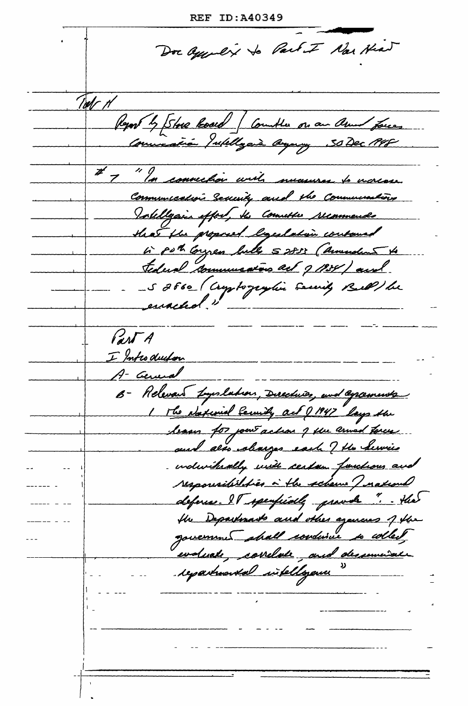**REF ID:A40349** 

Dor appolix to Part I Nor Head Tods H Report by Store load (Countle on an amed forces muración Julillagerà Gegeny # 7 "In convection with nucesures to moreose. Communication Security and the Communications Intelligain effort, the Countre recommends that the proposed begalation contains in put Congress bulls 52833 (annualis to tederal communication and g 1934) and -S 2660 (Comptographie Service) Bell) be PANTA I Introduction A- General B- Relevant Lynlation, Ducchier, and agreements The National Cennity act 21947 Lays the leaser for point action of the armed torces aund also alunges each ? He Service - individually unit certain functions and responsibilities à the scheme I nation deferen. IT speuficiely provide " Hier the Departments and other agencies of the evaluate, correlate, and deservaiede repartmental intelligence "